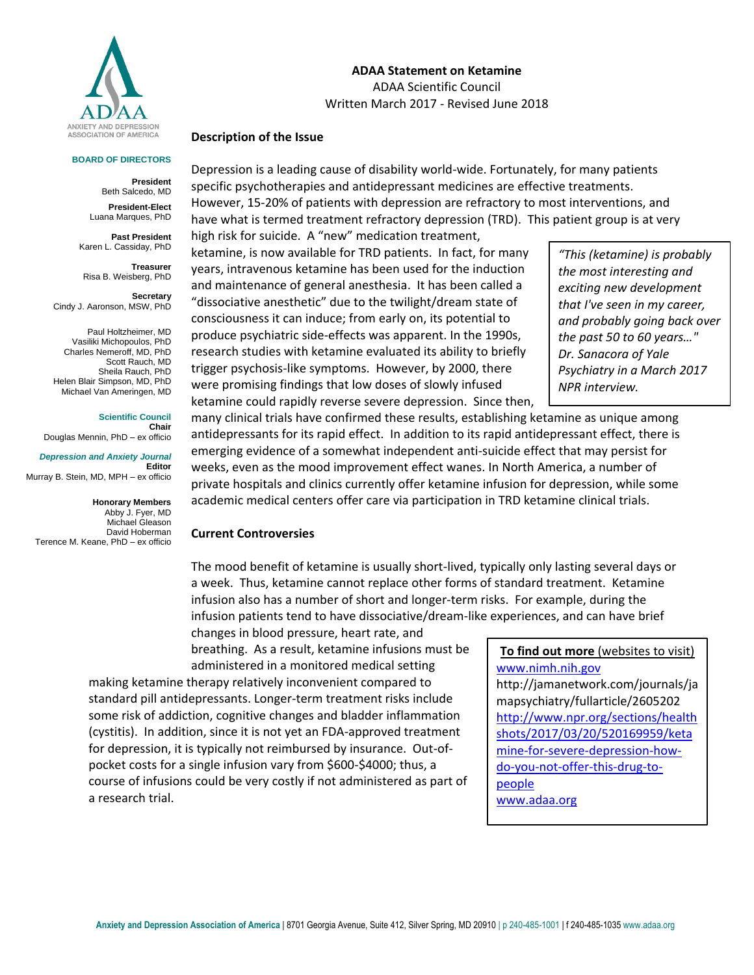

#### **BOARD OF DIRECTORS**

**President** Beth Salcedo, MD **President-Elect** Luana Marques, PhD

**Past President** Karen L. Cassiday, PhD

**Treasurer** Risa B. Weisberg, PhD

**Secretary**  Cindy J. Aaronson, MSW, PhD

Paul Holtzheimer, MD Vasiliki Michopoulos, PhD Charles Nemeroff, MD, PhD Scott Rauch, MD Sheila Rauch, PhD Helen Blair Simpson, MD, PhD Michael Van Ameringen, MD

#### **Scientific Council**

**Chair** Douglas Mennin, PhD – ex officio

*Depression and Anxiety Journal* **Editor** Murray B. Stein, MD, MPH – ex officio

**Honorary Members** Abby J. Fyer, MD Michael Gleason David Hoberman Terence M. Keane, PhD – ex officio

**ADAA Statement on Ketamine** ADAA Scientific Council Written March 2017 - Revised June 2018

## **Description of the Issue**

Depression is a leading cause of disability world-wide. Fortunately, for many patients specific psychotherapies and antidepressant medicines are effective treatments. However, 15-20% of patients with depression are refractory to most interventions, and have what is termed treatment refractory depression (TRD). This patient group is at very high risk for suicide. A "new" medication treatment,

ketamine, is now available for TRD patients. In fact, for many years, intravenous ketamine has been used for the induction and maintenance of general anesthesia. It has been called a "dissociative anesthetic" due to the twilight/dream state of consciousness it can induce; from early on, its potential to produce psychiatric side-effects was apparent. In the 1990s, research studies with ketamine evaluated its ability to briefly trigger psychosis-like symptoms. However, by 2000, there were promising findings that low doses of slowly infused ketamine could rapidly reverse severe depression. Since then,

*"This (ketamine) is probably the most interesting and exciting new development that I've seen in my career, and probably going back over the past 50 to 60 years…" Dr. Sanacora of Yale Psychiatry in a March 2017 NPR interview.* 

many clinical trials have confirmed these results, establishing ketamine as unique among antidepressants for its rapid effect. In addition to its rapid antidepressant effect, there is emerging evidence of a somewhat independent anti-suicide effect that may persist for weeks, even as the mood improvement effect wanes. In North America, a number of private hospitals and clinics currently offer ketamine infusion for depression, while some academic medical centers offer care via participation in TRD ketamine clinical trials.

## **Current Controversies**

The mood benefit of ketamine is usually short-lived, typically only lasting several days or a week. Thus, ketamine cannot replace other forms of standard treatment. Ketamine infusion also has a number of short and longer-term risks. For example, during the infusion patients tend to have dissociative/dream-like experiences, and can have brief

changes in blood pressure, heart rate, and breathing. As a result, ketamine infusions must be administered in a monitored medical setting

making ketamine therapy relatively inconvenient compared to standard pill antidepressants. Longer-term treatment risks include some risk of addiction, cognitive changes and bladder inflammation (cystitis). In addition, since it is not yet an FDA-approved treatment for depression, it is typically not reimbursed by insurance. Out-ofpocket costs for a single infusion vary from \$600-\$4000; thus, a course of infusions could be very costly if not administered as part of a research trial.

**To find out more** (websites to visit) [www.nimh.nih.gov](http://www.nimh.nih.gov/) http://jamanetwork.com/journals/ja mapsychiatry/fullarticle/2605202 [http://www.npr.org/sections/health](http://www.npr.org/sections/healthshots/2017/03/20/520169959/ketamine-for-severe-depression-how-do-you-not-offer-this-drug-to-people) [shots/2017/03/20/520169959/keta](http://www.npr.org/sections/healthshots/2017/03/20/520169959/ketamine-for-severe-depression-how-do-you-not-offer-this-drug-to-people) [mine-for-severe-depression-how](http://www.npr.org/sections/healthshots/2017/03/20/520169959/ketamine-for-severe-depression-how-do-you-not-offer-this-drug-to-people)[do-you-not-offer-this-drug-to](http://www.npr.org/sections/healthshots/2017/03/20/520169959/ketamine-for-severe-depression-how-do-you-not-offer-this-drug-to-people)[people](http://www.npr.org/sections/healthshots/2017/03/20/520169959/ketamine-for-severe-depression-how-do-you-not-offer-this-drug-to-people) [www.adaa.org](http://www.adaa.org/)